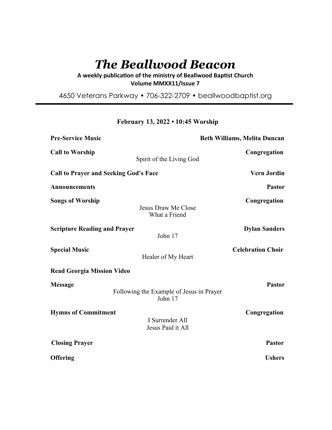# *The Beallwood Beacon*

A weekly publication of the ministry of Beallwood Baptist Church **Volume MMXX11/Issue 7** 

4650 Veterans Parkway • 706-322-2709 • beallwoodbaptist.org

**February 13, 2022 • 10:45 Worship**

| <b>Pre-Service Music</b>                     | <b>Beth Williams, Melita Duncan</b>                 |                          |
|----------------------------------------------|-----------------------------------------------------|--------------------------|
| <b>Call to Worship</b>                       | Spirit of the Living God                            | Congregation             |
| <b>Call to Prayer and Seeking God's Face</b> |                                                     | <b>Vern Jordin</b>       |
| <b>Announcements</b>                         |                                                     | Pastor                   |
| <b>Songs of Worship</b>                      | <b>Jesus Draw Me Close</b><br>What a Friend         | Congregation             |
| <b>Scripture Reading and Prayer</b>          | John 17                                             | <b>Dylan Sanders</b>     |
| <b>Special Music</b>                         | Healer of My Heart                                  | <b>Celebration Choir</b> |
| <b>Read Georgia Mission Video</b>            |                                                     |                          |
| <b>Message</b>                               | Following the Example of Jesus in Prayer<br>John 17 | <b>Pastor</b>            |
| <b>Hymns of Commitment</b>                   | I Surrender All<br>Jesus Paid it All                | Congregation             |
| <b>Closing Prayer</b>                        |                                                     | <b>Pastor</b>            |
| <b>Offering</b>                              |                                                     | <b>Ushers</b>            |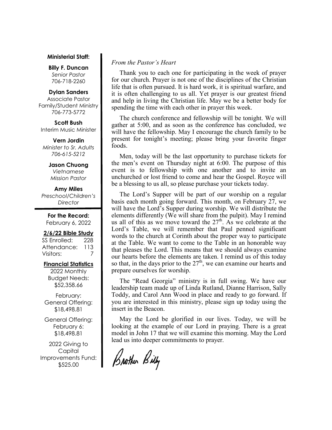#### **Ministerial Staff:**

**Billy F. Duncan** *Senior Pastor*  706-718-2260

#### **Dylan Sanders**

Associate Pastor Family/Student Ministry 706-773-5772

**Scott Bush**  Interim Music Minister

**Vern Jordin** *Minister to Sr. Adults 706-615-5212* 

#### **Jason Chuong**

*Vietnamese Mission Pastor* 

#### **Amy Miles**

*Preschool/Children's Director* 

**For the Record:**  February 6, 2022

#### **2/6/22 Bible Study**

SS Enrolled: 228 Attendance: 113 Visitors: 7

## **Financial Statistics**

2022 Monthly Budget Needs: \$52,358.66

February: General Offering: \$18,498.81

General Offering: February 6: \$18,498.81

2022 Giving to Capital Improvements Fund: \$525.00

## *From the Pastor's Heart*

 Thank you to each one for participating in the week of prayer for our church. Prayer is not one of the disciplines of the Christian life that is often pursued. It is hard work, it is spiritual warfare, and it is often challenging to us all. Yet prayer is our greatest friend and help in living the Christian life. May we be a better body for spending the time with each other in prayer this week.

 The church conference and fellowship will be tonight. We will gather at 5:00, and as soon as the conference has concluded, we will have the fellowship. May I encourage the church family to be present for tonight's meeting; please bring your favorite finger foods.

 Men, today will be the last opportunity to purchase tickets for the men's event on Thursday night at 6:00. The purpose of this event is to fellowship with one another and to invite an unchurched or lost friend to come and hear the Gospel. Royce will be a blessing to us all, so please purchase your tickets today.

 The Lord's Supper will be part of our worship on a regular basis each month going forward. This month, on February 27, we will have the Lord's Supper during worship. We will distribute the elements differently (We will share from the pulpit). May I remind us all of this as we move toward the  $27<sup>th</sup>$ . As we celebrate at the Lord's Table, we will remember that Paul penned significant words to the church at Corinth about the proper way to participate at the Table. We want to come to the Table in an honorable way that pleases the Lord. This means that we should always examine our hearts before the elements are taken. I remind us of this today so that, in the days prior to the  $27<sup>th</sup>$ , we can examine our hearts and prepare ourselves for worship.

 The "Read Georgia" ministry is in full swing. We have our leadership team made up of Linda Rutland, Dianne Harrison, Sally Toddy, and Carol Ann Wood in place and ready to go forward. If you are interested in this ministry, please sign up today using the insert in the Beacon.

 May the Lord be glorified in our lives. Today, we will be looking at the example of our Lord in praying. There is a great model in John 17 that we will examine this morning. May the Lord lead us into deeper commitments to prayer.

Brother Billy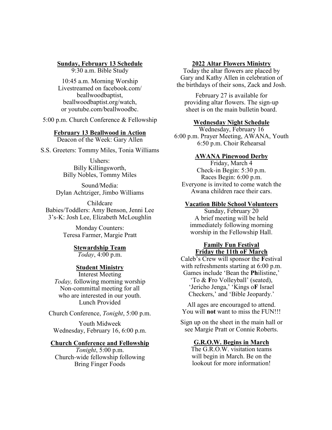#### **Sunday, February 13 Schedule**

9:30 a.m. Bible Study

10:45 a.m. Morning Worship Livestreamed on facebook.com/ beallwoodbaptist, beallwoodbaptist.org/watch, or youtube.com/beallwoodbc.

5:00 p.m. Church Conference & Fellowship

#### **February 13 Beallwood in Action**

Deacon of the Week: Gary Allen

S.S. Greeters: Tommy Miles, Tonia Williams

Ushers: Billy Killingsworth, Billy Nobles, Tommy Miles

Sound/Media: Dylan Achtziger, Jimbo Williams

Childcare Babies/Toddlers: Amy Benson, Jenni Lee 3's-K: Josh Lee, Elizabeth McLoughlin

> Monday Counters: Teresa Farmer, Margie Pratt

> > **Stewardship Team** *Today*, 4:00 p.m.

# **Student Ministry**

Interest Meeting *Today,* following morning worship Non-committal meeting for all who are interested in our youth. Lunch Provided

Church Conference, *Tonight*, 5:00 p.m.

Youth Midweek Wednesday, February 16, 6:00 p.m.

### **Church Conference and Fellowship**

*Tonight*, 5:00 p.m. Church-wide fellowship following Bring Finger Foods

#### **2022 Altar Flowers Ministry**

Today the altar flowers are placed by Gary and Kathy Allen in celebration of the birthdays of their sons, Zack and Josh.

February 27 is available for providing altar flowers. The sign-up sheet is on the main bulletin board.

#### **Wednesday Night Schedule**

Wednesday, February 16 6:00 p.m. Prayer Meeting, AWANA, Youth 6:50 p.m. Choir Rehearsal

#### **AWANA Pinewood Derby**

Friday, March 4 Check-in Begin: 5:30 p.m. Races Begin: 6:00 p.m. Everyone is invited to come watch the Awana children race their cars.

### **Vacation Bible School Volunteers**

Sunday, February 20 A brief meeting will be held immediately following morning worship in the Fellowship Hall.

## **Family Fun Festival Friday the 11th oF March**

Caleb's Crew will sponsor the **F**estival with refreshments starting at 6:00 p.m. Games include 'Bean the **Ph**ilistine,' 'To & **F**ro Volleyball' (seated), 'Jericho Jenga,' 'Kings o**F** Israel Checkers,' and 'Bible Jeopardy.'

All ages are encouraged to attend. You will **not** want to miss the FUN!!!

Sign up on the sheet in the main hall or see Margie Pratt or Connie Roberts.

#### **G.R.O.W. Begins in March**

The G.R.O.W. visitation teams will begin in March. Be on the lookout for more information!